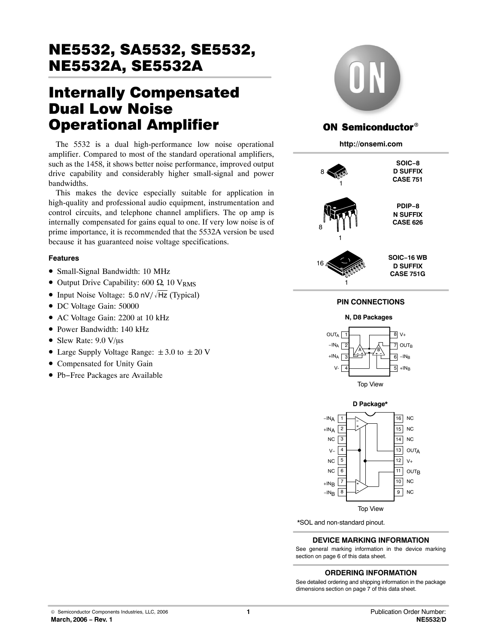# Internally Compensated Dual Low Noise Operational Amplifier

The 5532 is a dual high-performance low noise operational amplifier. Compared to most of the standard operational amplifiers, such as the 1458, it shows better noise performance, improved output drive capability and considerably higher small-signal and power bandwidths.

This makes the device especially suitable for application in high-quality and professional audio equipment, instrumentation and control circuits, and telephone channel amplifiers. The op amp is internally compensated for gains equal to one. If very low noise is of prime importance, it is recommended that the 5532A version be used because it has guaranteed noise voltage specifications.

#### **Features**

- Small-Signal Bandwidth: 10 MHz
- Output Drive Capability: 600  $\Omega$ , 10 V<sub>RMS</sub>
- Input Noise Voltage: 5.0 nV/ $\sqrt{Hz}$  (Typical)
- DC Voltage Gain: 50000
- AC Voltage Gain: 2200 at 10 kHz
- Power Bandwidth: 140 kHz
- Slew Rate:  $9.0 \text{ V/}\mu\text{s}$
- Large Supply Voltage Range:  $\pm 3.0$  to  $\pm 20$  V
- Compensated for Unity Gain
- Pb−Free Packages are Available



#### ON Semiconductor®

**http://onsemi.com**



#### **PIN CONNECTIONS**





\*SOL and non-standard pinout.

#### **DEVICE MARKING INFORMATION**

See general marking information in the device marking section on page 6 of this data sheet.

#### **ORDERING INFORMATION**

See detailed ordering and shipping information in the package dimensions section on page 7 of this data sheet.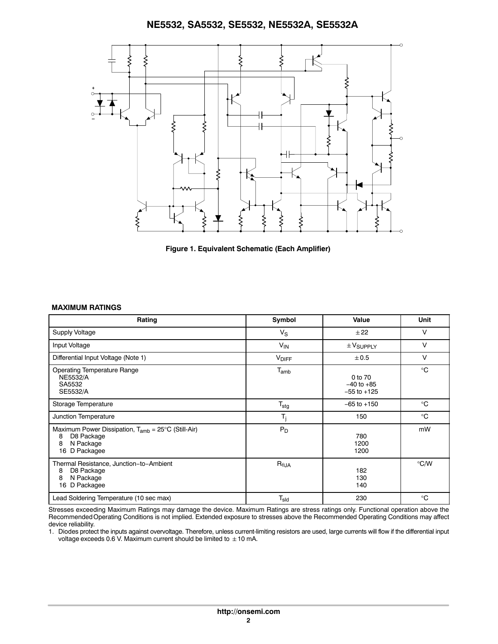



#### **MAXIMUM RATINGS**

| Rating                                                                                                               | Symbol           | Value                                        | Unit          |
|----------------------------------------------------------------------------------------------------------------------|------------------|----------------------------------------------|---------------|
| Supply Voltage                                                                                                       | $V_{\rm S}$      | ±22                                          | V             |
| Input Voltage                                                                                                        | $V_{IN}$         | $\pm$ $V_{\text{SUPPLY}}$                    | V             |
| Differential Input Voltage (Note 1)                                                                                  | <b>VDIFF</b>     | ± 0.5                                        | V             |
| <b>Operating Temperature Range</b><br><b>NE5532/A</b><br>SA5532<br>SE5532/A                                          | $T_{amb}$        | 0 to 70<br>$-40$ to $+85$<br>$-55$ to $+125$ | $^{\circ}C$   |
| Storage Temperature                                                                                                  | $T_{\text{stg}}$ | $-65$ to $+150$                              | $^{\circ}C$   |
| Junction Temperature                                                                                                 | $T_j$            | 150                                          | $^{\circ}C$   |
| Maximum Power Dissipation, $T_{amb} = 25^{\circ}C$ (Still-Air)<br>D8 Package<br>8<br>N Package<br>8<br>16 D Packagee | $P_D$            | 780<br>1200<br>1200                          | mW            |
| Thermal Resistance, Junction-to-Ambient<br>D8 Package<br>8<br>N Package<br>8<br>16 D Packagee                        | $R_{\theta,JA}$  | 182<br>130<br>140                            | $\degree$ C/W |
| Lead Soldering Temperature (10 sec max)                                                                              | $T_{sld}$        | 230                                          | $^{\circ}C$   |

Stresses exceeding Maximum Ratings may damage the device. Maximum Ratings are stress ratings only. Functional operation above the Recommended Operating Conditions is not implied. Extended exposure to stresses above the Recommended Operating Conditions may affect device reliability.

1. Diodes protect the inputs against overvoltage. Therefore, unless current-limiting resistors are used, large currents will flow if the differential input voltage exceeds 0.6 V. Maximum current should be limited to  $\pm$  10 mA.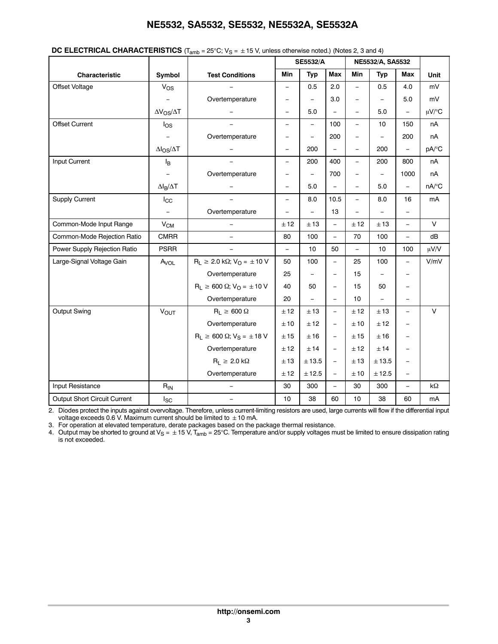|                              |                          | $\bullet$ . $\bullet$ . The state $\cdot$ , $\cdot$ and $\cdot$ and $\cdot$ is the state $\cdot$ of $\cdot$ and $\cdot$ is the state $\cdot$ is the state $\cdot$ is the state $\cdot$ is the state $\cdot$ is the state $\cdot$ is the state $\cdot$ is the state $\cdot$ is the |                          | <b>SE5532/A</b>          |                          |                          | NE5532/A, SA5532  |                          |                     |
|------------------------------|--------------------------|-----------------------------------------------------------------------------------------------------------------------------------------------------------------------------------------------------------------------------------------------------------------------------------|--------------------------|--------------------------|--------------------------|--------------------------|-------------------|--------------------------|---------------------|
| <b>Characteristic</b>        | Symbol                   | <b>Test Conditions</b>                                                                                                                                                                                                                                                            | <b>Min</b>               | <b>Typ</b>               | Max                      | Min                      | <b>Typ</b>        | Max                      | Unit                |
| Offset Voltage               | Vos                      |                                                                                                                                                                                                                                                                                   | $\overline{\phantom{0}}$ | 0.5                      | 2.0                      | $\overline{a}$           | 0.5               | 4.0                      | mV                  |
|                              |                          | Overtemperature                                                                                                                                                                                                                                                                   | $\overline{\phantom{0}}$ | $\equiv$                 | 3.0                      | $\qquad \qquad -$        | $\qquad \qquad -$ | 5.0                      | mV                  |
|                              | $\Delta V_{OS}/\Delta T$ |                                                                                                                                                                                                                                                                                   | $\frac{1}{2}$            | 5.0                      | $\equiv$                 | $\overline{\phantom{0}}$ | 5.0               | Ξ,                       | $\mu V$ /°C         |
| <b>Offset Current</b>        | $\log$                   |                                                                                                                                                                                                                                                                                   | $\qquad \qquad -$        | $\qquad \qquad -$        | 100                      | $\overline{\phantom{0}}$ | 10                | 150                      | nA                  |
|                              |                          | Overtemperature                                                                                                                                                                                                                                                                   | $\overline{\phantom{0}}$ |                          | 200                      | $\qquad \qquad -$        |                   | 200                      | nA                  |
|                              | $\Delta I_{OS}/\Delta T$ |                                                                                                                                                                                                                                                                                   | $\equiv$                 | 200                      | $\overline{\phantom{0}}$ | $\equiv$                 | 200               | $\equiv$                 | pA/°C               |
| Input Current                | Iв                       |                                                                                                                                                                                                                                                                                   | $\equiv$                 | 200                      | 400                      | $\equiv$                 | 200               | 800                      | пA                  |
|                              |                          | Overtemperature                                                                                                                                                                                                                                                                   | $\overline{\phantom{0}}$ |                          | 700                      | $\equiv$                 | $\qquad \qquad -$ | 1000                     | nA                  |
|                              | $\Delta I_B/\Delta T$    |                                                                                                                                                                                                                                                                                   | $\overline{\phantom{m}}$ | 5.0                      | $\equiv$                 | $\overline{\phantom{0}}$ | 5.0               | $\equiv$                 | $nA$ <sup>o</sup> C |
| <b>Supply Current</b>        | $I_{\rm CC}$             |                                                                                                                                                                                                                                                                                   | $\equiv$                 | 8.0                      | 10.5                     | $\equiv$                 | 8.0               | 16                       | mA                  |
|                              | $\equiv$                 | Overtemperature                                                                                                                                                                                                                                                                   |                          | $\equiv$                 | 13                       | $\overline{\phantom{0}}$ | $\qquad \qquad -$ |                          |                     |
| Common-Mode Input Range      | $V_{CM}$                 | $\overline{\phantom{0}}$                                                                                                                                                                                                                                                          | ±12                      | ±13                      | $\qquad \qquad -$        | ±12                      | ±13               | $\equiv$                 | $\vee$              |
| Common-Mode Rejection Ratio  | <b>CMRR</b>              | $\overline{\phantom{0}}$                                                                                                                                                                                                                                                          | 80                       | 100                      | $\overline{\phantom{0}}$ | 70                       | 100               | $\equiv$                 | dB                  |
| Power Supply Rejection Ratio | <b>PSRR</b>              |                                                                                                                                                                                                                                                                                   | $\equiv$                 | 10                       | 50                       | $\overline{\phantom{0}}$ | 10                | 100                      | μV/V                |
| Large-Signal Voltage Gain    | Avol                     | $R_L \ge 2.0 \text{ k}\Omega$ ; $V_O = \pm 10 \text{ V}$                                                                                                                                                                                                                          | 50                       | 100                      | $\overline{\phantom{a}}$ | 25                       | 100               | $\qquad \qquad -$        | V/mV                |
|                              |                          | Overtemperature                                                                                                                                                                                                                                                                   | 25                       | $\overline{\phantom{0}}$ | $\overline{\phantom{m}}$ | 15                       | -                 |                          |                     |
|                              |                          | $R_L \ge 600 \Omega$ ; $V_O = \pm 10 V$                                                                                                                                                                                                                                           | 40                       | 50                       | $\overline{\phantom{0}}$ | 15                       | 50                |                          |                     |
|                              |                          | Overtemperature                                                                                                                                                                                                                                                                   | 20                       | $\overline{\phantom{0}}$ | $\overline{\phantom{0}}$ | 10                       | $\equiv$          | $\equiv$                 |                     |
| Output Swing                 | $V_{OUT}$                | $R_L \geq 600 \Omega$                                                                                                                                                                                                                                                             | ± 12                     | ± 13                     | $\overline{\phantom{0}}$ | ±12                      | ± 13              | $\overline{\phantom{0}}$ | $\vee$              |
|                              |                          | Overtemperature                                                                                                                                                                                                                                                                   | ±10                      | ± 12                     | $\overline{\phantom{a}}$ | ±10                      | ± 12              |                          |                     |
|                              |                          | $R_1 \ge 600 \Omega$ ; $V_S = \pm 18 V$                                                                                                                                                                                                                                           | ±15                      | ±16                      | $\overline{\phantom{0}}$ | ±15                      | ±16               |                          |                     |
|                              |                          | Overtemperature                                                                                                                                                                                                                                                                   | ±12                      | ± 14                     | $\equiv$                 | ±12                      | ±14               |                          |                     |
|                              |                          | $R_1 \geq 2.0 \text{ k}\Omega$                                                                                                                                                                                                                                                    | ± 13                     | $\pm$ 13.5               | $\equiv$                 | ±13                      | ± 13.5            |                          |                     |
|                              |                          | Overtemperature                                                                                                                                                                                                                                                                   | ± 12                     | ± 12.5                   | $\overline{\phantom{a}}$ | ±10                      | ± 12.5            | $\overline{\phantom{0}}$ |                     |
| Input Resistance             | $R_{IN}$                 |                                                                                                                                                                                                                                                                                   | 30                       | 300                      | $\overline{\phantom{0}}$ | 30                       | 300               | $\qquad \qquad -$        | $k\Omega$           |
| Output Short Circuit Current | $I_{SC}$                 | $\equiv$                                                                                                                                                                                                                                                                          | 10                       | 38                       | 60                       | 10                       | 38                | 60                       | mA                  |

| DC ELECTRICAL CHARACTERISTICS ( $T_{amb}$ = 25°C; $V_S$ = $\pm$ 15 V, unless otherwise noted.) (Notes 2, 3 and 4) |  |  |  |  |  |
|-------------------------------------------------------------------------------------------------------------------|--|--|--|--|--|
|-------------------------------------------------------------------------------------------------------------------|--|--|--|--|--|

2. Diodes protect the inputs against overvoltage. Therefore, unless current-limiting resistors are used, large currents will flow if the differential input voltage exceeds 0.6 V. Maximum current should be limited to  $\pm$  10 mA.

3. For operation at elevated temperature, derate packages based on the package thermal resistance.

4.  $\,$  Output may be shorted to ground at V $_{\rm S}$  =  $\,\pm$  15 V, T $_{\rm amb}$  = 25°C. Temperature and/or supply voltages must be limited to ensure dissipation rating is not exceeded.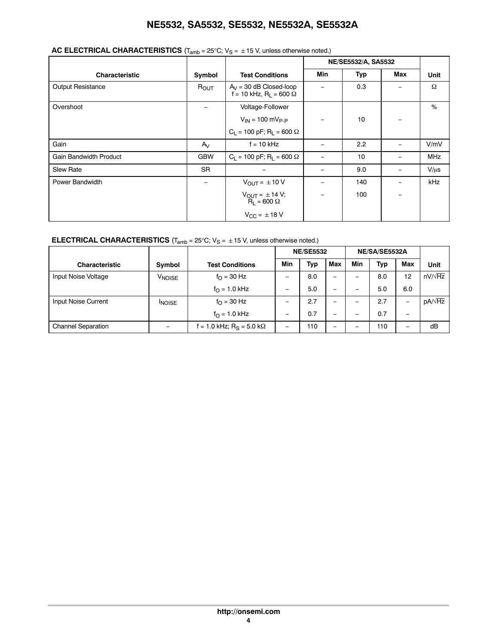## **AC ELECTRICAL CHARACTERISTICS**  $(T_{amb} = 25^{\circ}C; V_S = \pm 15 V$ , unless otherwise noted.)

|                               |                  |                                                                   |            | NE/SE5532/A, SA5532 |                          |            |
|-------------------------------|------------------|-------------------------------------------------------------------|------------|---------------------|--------------------------|------------|
| <b>Characteristic</b>         | Symbol           | <b>Test Conditions</b>                                            | <b>Min</b> | <b>Typ</b>          | Max                      | Unit       |
| <b>Output Resistance</b>      | R <sub>OUT</sub> | $A_V = 30$ dB Closed-loop<br>$f = 10$ kHz, R <sub>1</sub> = 600 Ω |            | 0.3                 |                          | Ω          |
| Overshoot                     |                  | Voltage-Follower                                                  |            |                     |                          | %          |
|                               |                  | $V_{1N} = 100 \text{ mV}_{P-P}$                                   |            | 10                  |                          |            |
|                               |                  | $C_L$ = 100 pF; R <sub>L</sub> = 600 $\Omega$                     |            |                     |                          |            |
| Gain                          | $A_{V}$          | $f = 10$ kHz                                                      |            | 2.2                 |                          | V/mV       |
| <b>Gain Bandwidth Product</b> | <b>GBW</b>       | $C_L$ = 100 pF; R <sub>L</sub> = 600 $\Omega$                     |            | 10                  |                          | <b>MHz</b> |
| <b>Slew Rate</b>              | <b>SR</b>        |                                                                   |            | 9.0                 | $\equiv$                 | $V/\mu s$  |
| Power Bandwidth               | $-$              | $V_{OUT} = \pm 10 V$                                              |            | 140                 | $\overline{\phantom{0}}$ | kHz        |
|                               |                  | $V_{\text{OUT}} = \pm 14 \text{ V};$<br>$R_1 = 600 \Omega$        |            | 100                 |                          |            |
|                               |                  | $V_{CC} = \pm 18 V$                                               |            |                     |                          |            |

#### **ELECTRICAL CHARACTERISTICS**  $(T_{amb} = 25^{\circ}C; V_S = \pm 15 V$ , unless otherwise noted.)

|                           |                              |                                      | <b>NE/SE5532</b>         |     | NE/SA/SE5532A            |                          |            |            |                |
|---------------------------|------------------------------|--------------------------------------|--------------------------|-----|--------------------------|--------------------------|------------|------------|----------------|
| <b>Characteristic</b>     | Symbol                       | <b>Test Conditions</b>               | Min                      | Typ | Max                      | Min                      | <b>Typ</b> | <b>Max</b> | Unit           |
| Input Noise Voltage       | <b>V<sub>NOISE</sub></b>     | $f_{\Omega}$ = 30 Hz                 | $\qquad \qquad$          | 8.0 | $\overline{\phantom{0}}$ | $\overline{\phantom{0}}$ | 8.0        | 12         | $nV/\sqrt{Hz}$ |
|                           |                              | $f_{\Omega} = 1.0 \text{ kHz}$       | $\qquad \qquad$          | 5.0 | -                        | -                        | 5.0        | 6.0        |                |
| Input Noise Current       | <b>NOISE</b>                 | $f_{\Omega} = 30$ Hz                 |                          | 2.7 | -                        | -                        | 2.7        |            | $pA/\sqrt{Hz}$ |
|                           |                              | $f_{\Omega}$ = 1.0 kHz               | $\qquad \qquad$          | 0.7 | -                        | $\overline{\phantom{0}}$ | 0.7        | -          |                |
| <b>Channel Separation</b> | $\qquad \qquad \blacksquare$ | f = 1.0 kHz; R <sub>S</sub> = 5.0 kΩ | $\overline{\phantom{0}}$ | 110 | -                        |                          | 110        |            | dB             |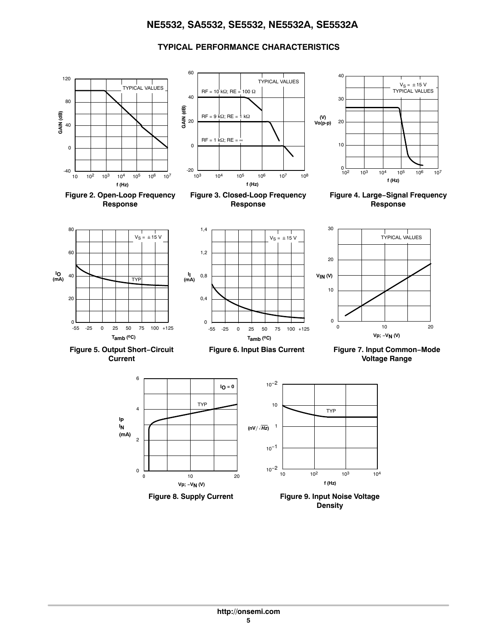#### **TYPICAL PERFORMANCE CHARACTERISTICS**



**Density**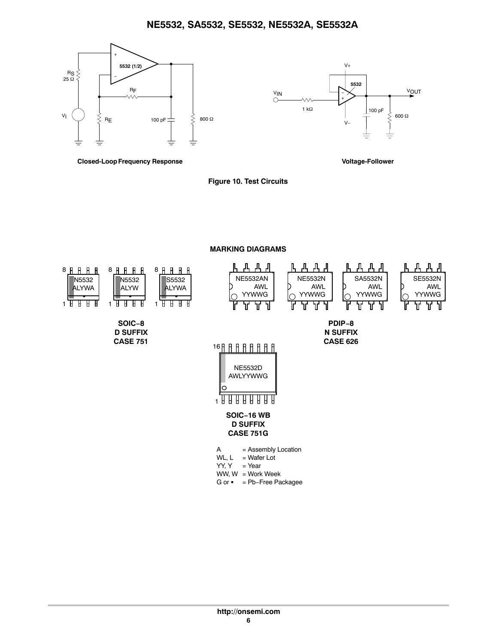



**Closed-Loop Frequency Response Voltage-Follower**



**MARKING DIAGRAMS**

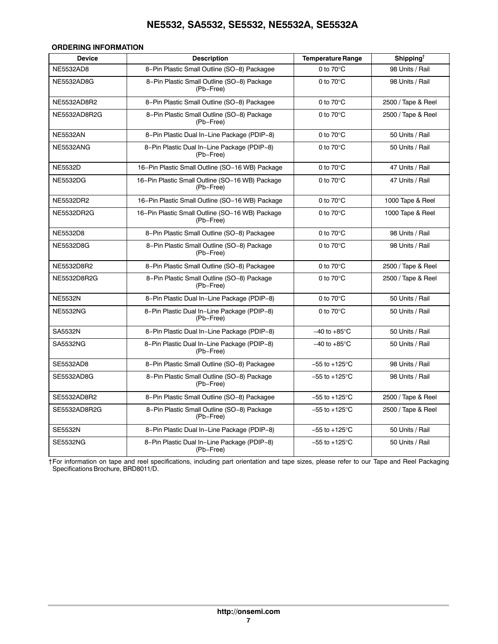#### **ORDERING INFORMATION**

| <b>Device</b>     | <b>Description</b>                                           | <b>Temperature Range</b>  | Shipping <sup>†</sup> |
|-------------------|--------------------------------------------------------------|---------------------------|-----------------------|
| <b>NE5532AD8</b>  | 8-Pin Plastic Small Outline (SO-8) Packagee                  | 0 to $70^{\circ}$ C       | 98 Units / Rail       |
| NE5532AD8G        | 8-Pin Plastic Small Outline (SO-8) Package<br>(Pb-Free)      | 0 to $70^{\circ}$ C       | 98 Units / Rail       |
| NE5532AD8R2       | 8-Pin Plastic Small Outline (SO-8) Packagee                  | 0 to $70^{\circ}$ C       | 2500 / Tape & Reel    |
| NE5532AD8R2G      | 8-Pin Plastic Small Outline (SO-8) Package<br>(Pb-Free)      | 0 to $70^{\circ}$ C       | 2500 / Tape & Reel    |
| <b>NE5532AN</b>   | 8-Pin Plastic Dual In-Line Package (PDIP-8)                  | 0 to $70^{\circ}$ C       | 50 Units / Rail       |
| NE5532ANG         | 8-Pin Plastic Dual In-Line Package (PDIP-8)<br>(Pb-Free)     | 0 to $70^{\circ}$ C       | 50 Units / Rail       |
| <b>NE5532D</b>    | 16-Pin Plastic Small Outline (SO-16 WB) Package              | 0 to $70^{\circ}$ C       | 47 Units / Rail       |
| <b>NE5532DG</b>   | 16-Pin Plastic Small Outline (SO-16 WB) Package<br>(Pb-Free) | 0 to $70^{\circ}$ C       | 47 Units / Rail       |
| NE5532DR2         | 16-Pin Plastic Small Outline (SO-16 WB) Package              | 0 to $70^{\circ}$ C       | 1000 Tape & Reel      |
| <b>NE5532DR2G</b> | 16-Pin Plastic Small Outline (SO-16 WB) Package<br>(Pb-Free) | 0 to $70^{\circ}$ C       | 1000 Tape & Reel      |
| NE5532D8          | 8-Pin Plastic Small Outline (SO-8) Packagee                  | 0 to $70^{\circ}$ C       | 98 Units / Rail       |
| NE5532D8G         | 8-Pin Plastic Small Outline (SO-8) Package<br>(Pb-Free)      | 0 to $70^{\circ}$ C       | 98 Units / Rail       |
| NE5532D8R2        | 8-Pin Plastic Small Outline (SO-8) Packagee                  | 0 to $70^{\circ}$ C       | 2500 / Tape & Reel    |
| NE5532D8R2G       | 8-Pin Plastic Small Outline (SO-8) Package<br>(Pb-Free)      | 0 to $70^{\circ}$ C       | 2500 / Tape & Reel    |
| <b>NE5532N</b>    | 8-Pin Plastic Dual In-Line Package (PDIP-8)                  | 0 to $70^{\circ}$ C       | 50 Units / Rail       |
| <b>NE5532NG</b>   | 8-Pin Plastic Dual In-Line Package (PDIP-8)<br>(Pb-Free)     | 0 to $70^{\circ}$ C       | 50 Units / Rail       |
| SA5532N           | 8-Pin Plastic Dual In-Line Package (PDIP-8)                  | $-40$ to $+85^{\circ}$ C  | 50 Units / Rail       |
| <b>SA5532NG</b>   | 8-Pin Plastic Dual In-Line Package (PDIP-8)<br>(Pb-Free)     | $-40$ to $+85^{\circ}$ C  | 50 Units / Rail       |
| SE5532AD8         | 8-Pin Plastic Small Outline (SO-8) Packagee                  | $-55$ to $+125^{\circ}$ C | 98 Units / Rail       |
| SE5532AD8G        | 8-Pin Plastic Small Outline (SO-8) Package<br>(Pb-Free)      | $-55$ to $+125^{\circ}$ C | 98 Units / Rail       |
| SE5532AD8R2       | 8-Pin Plastic Small Outline (SO-8) Packagee                  | $-55$ to $+125^{\circ}$ C | 2500 / Tape & Reel    |
| SE5532AD8R2G      | 8-Pin Plastic Small Outline (SO-8) Package<br>(Pb-Free)      | $-55$ to $+125^{\circ}$ C | 2500 / Tape & Reel    |
| <b>SE5532N</b>    | 8-Pin Plastic Dual In-Line Package (PDIP-8)                  | $-55$ to $+125^{\circ}$ C | 50 Units / Rail       |
| <b>SE5532NG</b>   | 8-Pin Plastic Dual In-Line Package (PDIP-8)<br>(Pb-Free)     | $-55$ to $+125^{\circ}$ C | 50 Units / Rail       |

†For information on tape and reel specifications, including part orientation and tape sizes, please refer to our Tape and Reel Packaging Specifications Brochure, BRD8011/D.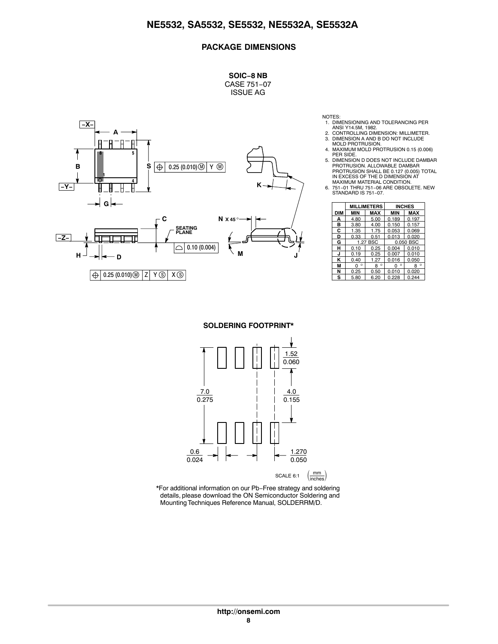#### **PACKAGE DIMENSIONS**

**SOIC−8 NB** CASE 751−07 ISSUE AG



NOTES:

- 1. DIMENSIONING AND TOLERANCING PER ANSI Y14.5M, 1982.
- 2. CONTROLLING DIMENSION: MILLIMETER. 3. DIMENSION A AND B DO NOT INCLUDE MOLD PROTRUSION.
- 4. MAXIMUM MOLD PROTRUSION 0.15 (0.006)
- PER SIDE. 5. DIMENSION D DOES NOT INCLUDE DAMBAR PROTRUSION. ALLOWABLE DAMBAR PROTRUSION SHALL BE 0.127 (0.005) TOTAL IN EXCESS OF THE D DIMENSION AT
- MAXIMUM MATERIAL CONDITION. 6. 751−01 THRU 751−06 ARE OBSOLETE. NEW STANDARD IS 751−07.

|     |              | <b>MILLIMETERS</b> |              | <b>INCHES</b> |
|-----|--------------|--------------------|--------------|---------------|
| DIM | MIN          | MAX                | MIN          | <b>MAX</b>    |
| А   | 4.80         | 5.00               | 0.189        | 0.197         |
| в   | 3.80         | 4.00               | 0.150        | 0.157         |
| C   | 1.35         | 1.75               | 0.053        | 0.069         |
| D   | 0.33         | 0.51               | 0.013        | 0.020         |
| G   |              | 1.27 BSC           |              | 0.050 BSC     |
| н   | 0.10         | 0.25               | 0.004        | 0.010         |
| J   | 0.19         | 0.25               | 0.007        | 0.010         |
| κ   | 0.40         | 1.27               | 0.016        | 0.050         |
| М   | $\circ$<br>O | $\circ$<br>8       | $\circ$<br>0 | $\circ$<br>8  |
| N   | 0.25         | 0.50               | 0.010        | 0.020         |
| s   | 5.80         | 6.20               | 0.228        | 0.244         |

**SOLDERING FOOTPRINT\***



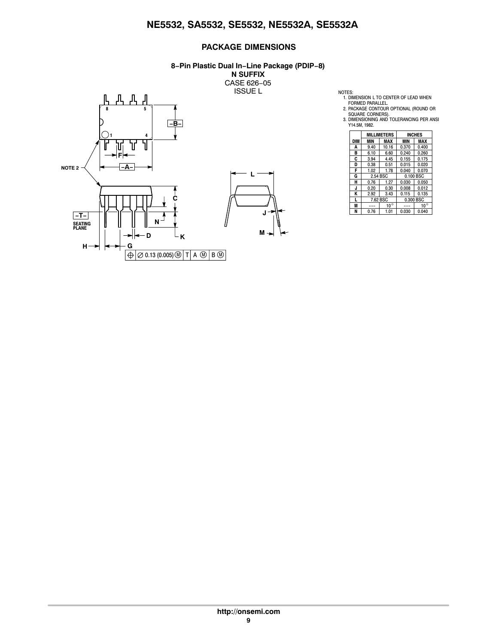#### **PACKAGE DIMENSIONS**

#### **8−Pin Plastic Dual In−Line Package (PDIP−8)**

**N SUFFIX** CASE 626−05



1. DIMENSION L TO CENTER OF LEAD WHEN<br>FORMED PARALLEL.<br>2. PACKAGE CONTOUR OPTIONAL (ROUND OR<br>SQUARE CORNERS).<br>3. DIMENSIONING AND TOLERANCING PER ANSI<br>Y 114.5M, 1982.

|            |          | <b>MILLIMETERS</b> |            | <b>INCHES</b> |  |
|------------|----------|--------------------|------------|---------------|--|
| <b>DIM</b> | MIN      | MAX                | <b>MIN</b> | MAX           |  |
| A          | 9.40     | 10.16              | 0.370      | 0.400         |  |
| в          | 6.10     | 6.60               | 0.240      | 0.260         |  |
| C          | 3.94     | 4.45               | 0.155      | 0.175         |  |
| D          | 0.38     | 0.51               | 0.015      | 0.020         |  |
| F          | 1.02     | 1.78               | 0.040      | 0.070         |  |
| G          | 2.54 BSC |                    | 0.100 BSC  |               |  |
| н          | 0.76     | 1.27               | 0.030      | 0.050         |  |
| J          | 0.20     | 0.30               | 0.008      | 0.012         |  |
| K          | 2.92     | 3.43               | 0.115      | 0.135         |  |
| L          | 7.62 BSC |                    |            | 0.300 BSC     |  |
| M          |          | $10^{\circ}$       |            | $10^{\circ}$  |  |
| N          | 0.76     | 1.01               | 0.030      | 0.040         |  |